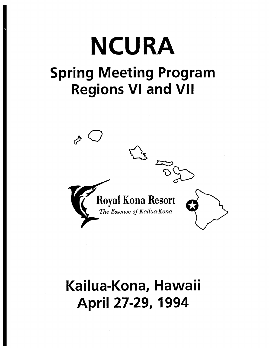# NCURA Spring Meeting Program Regions VI and VII



## Kailua-Kona, Hawaii April 27-29, 1994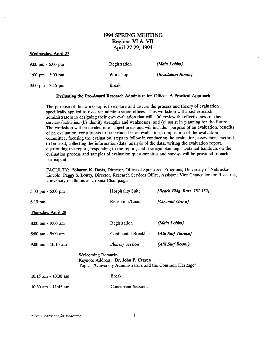### 1994 SPRING MEETING Regions VI & VII April 27-29, 1994

#### Wednesday, April 27

| $9:00$ am $-5:00$ pm                | Registration | {Main Lobby}      |
|-------------------------------------|--------------|-------------------|
| $1:00 \text{ pm} - 5:00 \text{ pm}$ | Workshop     | {Resolution Room} |
| $3:00 \text{ pm} - 3:15 \text{ pm}$ | <b>Break</b> |                   |

#### Evaluating the Pre-Award Research Administration Office: A Practical Approach

The purpose of this workshop is to explore and discuss the process and theory of evaluation specifically applied to research administration offices. This workshop will assist research administrators in designing their own evaluation that will: (a) review the effectiveness of their services/activities, (b) identify strengths and weaknesses, and (c) assist in planning for the future. The workshop will be divided into subject areas and will include: purpose of an evaluation, benefits of an evaluation, constituents to be included in an evaluation, composition of the evaluation committee, focusing the evaluation, steps to follow in conducting the evaluation, assessment methods to be used, collecting the information/data, analysis of the data, writing the evaluation report, distributing the report, responding to the report, and strategic planning. Detailed handouts on the evaluation process and samples of evaluation questionnaires and surveys will be provided to each participant.

FACULTY: \*Sharon K. Davis, Director, Office of Sponsored Programs, University of Nebraska-Lincoln; Peggy S. Lowry, Director, Research Services Office, Assistant Vice Chancellor for Research, University of Illinois at Urbana-Champaign

| $5:00$ pm $-6:00$ pm | <b>Hospitality Suite</b>                                                                                                      | {Beach Bldg. Rms. 151-152} |  |
|----------------------|-------------------------------------------------------------------------------------------------------------------------------|----------------------------|--|
| $6:15$ pm            | Reception/Luau                                                                                                                | {Coconut Grove}            |  |
| Thursday, April 28   |                                                                                                                               |                            |  |
| $8:00$ am $-9:00$ am | Registration                                                                                                                  | {Main Lobby}               |  |
| $8:00$ am $-9:00$ am | <b>Continental Breakfast</b>                                                                                                  | {Alii Surf Terrace}        |  |
| $9:00$ am - 10:15 am | <b>Plenary Session</b>                                                                                                        | {Alii Surf Room}           |  |
|                      | <b>Welcoming Remarks</b><br>Keynote Address: Dr. John P. Craven<br>Topic: "University Administrators and the Common Heritage" |                            |  |
| 10:15 am - 10:30 am  | <b>Break</b>                                                                                                                  |                            |  |

10:30 am - 11:45 am Concurrent Sessions

*' Team leader and/or Moderator 1*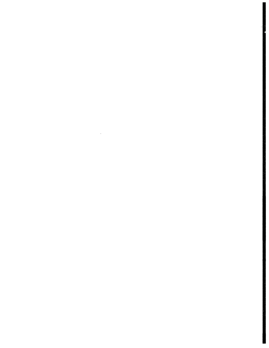$\label{eq:2.1} \frac{1}{\sqrt{2\pi}}\int_{0}^{\infty} \frac{d\mu}{\sqrt{2\pi}}\left(\frac{d\mu}{\mu}\right)^{\mu} \frac{d\mu}{\sqrt{2\pi}}\int_{0}^{\infty} \frac{d\mu}{\sqrt{2\pi}}\frac{d\mu}{\sqrt{2\pi}}\frac{d\mu}{\sqrt{2\pi}}\frac{d\mu}{\sqrt{2\pi}}\frac{d\mu}{\sqrt{2\pi}}\frac{d\mu}{\sqrt{2\pi}}\frac{d\mu}{\sqrt{2\pi}}\frac{d\mu}{\sqrt{2\pi}}\frac{d\mu}{\sqrt{2\pi}}\frac{d\mu}{\$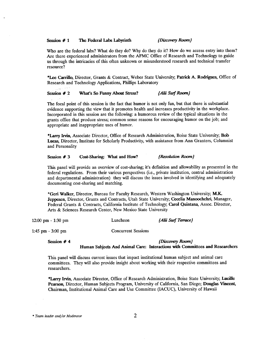#### **Session # 1 The Federal Labs Labyrinth** *{Discovery Room}*

Who are the federal labs? What do they do? Why do they do it? How do we access entry into them? Are there experienced administrators from the AFMC Office of Research and Technology to guide us through the intricacies of this often unknown or misunderstood research and technical transfer resource?

\*Lee Carrillo, Director, Grants & Contract, Weber State University; Patrick A. Rodrigues, Office of Research and Technology Applications, Phillips Laboratory

**Session # 2 What's So Funny About Stress?** *{Alii Surf Room}* 

The focal point of this session is the fact that humor is not only fun, but that there is substantial evidence supporting the view that it promotes health and increases productivity in the workplace. Incorporated in this session are the following: a humorous review of the typical situations in the grants office that produce stress; common sense reasons for encouraging humor on the job; and appropriate and inappropriate uses of humor.

**'Larry Irvin,** Associate Director, Office of Research Administration, Boise State University; **Bob Lucas,** Director, Institute for Scholarly Productivity, with assistance from Ann Granters, Columnist and Personality

#### **Session** # **3 Cost**-**Sharing: What and** *Hove? {Resolution Room}*

This panel will provide an overview of cost-sharing; it's definition and allowability as presented in the federal regulations. From their various perspectives (i.e., private institution, central administration and departmental administration) they will discuss the issues involved in identifying and adequately documenting cost-sharing and matching.

\*Geri Walker, Director, Bureau for Faculty Research, Western Washington University; M.K. **Jeppesen,** Director, Grants and Contracts, Utah State University; **Cecelia Manoochehri,** Manager, Federal Grants & Contracts, California Institute of Technology; Carol Quintana, Assoc. Director, Arts & Sciences Research Center, New Mexico State University

12:00 pm - 1:30 pm Luncheon *{Alii Stuf Terence}* 

1:45 pm - 3:00 pm Concurrent Sessions

**Session** # **4** *{Discovery Room}* 

**Human Subjects And Animal Care: Interactions with Committees and Researchers** 

This panel will discuss current issues that impact institutional human subject and animal care committees. They will also provide insight about working with their respective committees and researchers.

**•Larry Irvin,** Associate Duector, Office of Research Administration, Boise State University; Lucille **Pearson,** Director, Human Subjects Program, University of California, San Diego; **Douglas Vincent,**  Chairman, Institutional Animal Care and Use Committee (IACUC), University of Hawaii

*• Team leader and/or Moderator* 2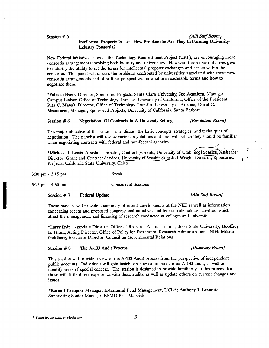#### Session # 5 *{Alii Surf Roorn}*  Intellectual Property Issues: How Problematic Are They In Forming University-Industry Consortia?

New Federal initiatives, such as the Technology Reinvestment Project (TRP), are encouraging more consortia arrangements involving both industry and universities. However, these new initiatives give to industry the ability to set the terms for intellectual property exchanges and access within the consortia. This panel will discuss the problems confronted by universities associated with these new consortia arrangements and offer their perspectives on what are reasonable terms and how to negotiate them.

=Patricia Byers, Director, Sponsored Projects, Santa Clara University; Joe Acanfora, Manager, Campus Liaison Office of Technology Transfer, University of California, Office of the President; Rita C. Manak, Director, Office of Technology Transfer, University of Arizona; David C. Menninger, Manager, Sponsored Projects, University of California, Santa Barbara

#### Session # 6 Negotiation Of Contracts In A University Setting *{Resolution Room}*

The major objective of this session is to discuss the basic concepts, strategies, and techniques of negotiation. The panelist will review various regulations and laws with which they should be familiar when negotiating contracts with federal and non-federal agencies.

\*Michael R. Lewis, Assistant Director, Contracts/Grants, University of Utah; Loel Searles, Assistant ' Director, Grant and Contract Services, University of Washington; Jeff Wright, Director, Sponsored Projects, California State University, Chico

 $3:00 \text{ pm} - 3:15 \text{ pm}$  Break

3:15 pm-4:30 pm Concurrent Sessions

#### Session # 7 Federal Update *{Alii Surf Room}*

These panelist will provide a summary of recent developments at the NIH as well as information concerning recent and proposed congressional initiatives and federal rulemaking activities which affect the management and financing of research conducted at colleges and universities.

\*Larry Irvin, Associate Duector, Office of Research Administration, Boise State University; Geoffrey E. Grant, Acting Director, Office of Policy for Extramural Research Administration, NIH; Milton Goldberg, Executive Director, Council on Governmental Relations

#### Session # 8 The A-133 Audit Process *{Discovery Room}*

This session will provide a view of the A-133 Audit process from the perspective of independent public accounts. Individuals will gain insight on how to prepare for an A-133 audit, as well as identify areas of special concern. The session is designed to provide familiarity to this process for those with little direct experience with these audits, as well as update others on current changes and issues.

'Karen I Partipilo, Manager, Extramural Fund Management, UCLA; Anthony J. Lannutte, Supervising Senior Manager, KPMG Peat Marwick

 $\mathcal{\iota}$ 

 $I$   $I$ 

*<sup>&#</sup>x27; Team leader and/or Moderator* 3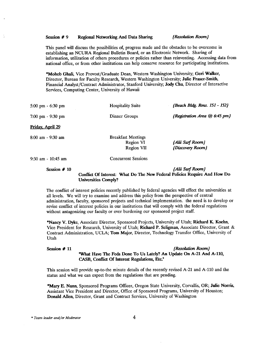#### **Session # 9 Regional Networking And Data Sharing** *{Resolution Room}*

This panel will discuss the possibilities of, progress made and the obstacles to be overcome in establishing an NCURA Regional Bulletin Board, or an Electronic Network. Sharing of information, utilization of others procedures or policies rather than reinventing. Accessing data from national office, or from other institutions can help conserve resource for participating institutions.

**sMoheb Ghali,** Vice Provost/Graduate Dean, Western Washington University; Geri Walker, Director, Bureau for Faculty Research, Western Washington University; **Julie Fraser**-Smith, Financial Analyst/Contract Administrator, Stanford University; **Jody Chu,** Director of Interactive Services, Computing Center, University of Hawaii

| $5:00 \text{ pm} - 6:30 \text{ pm}$ | <b>Hospitality Suite</b>                             | {Beach Bldg. Rms. 151 - 152}              |
|-------------------------------------|------------------------------------------------------|-------------------------------------------|
| $7:00 \text{ pm} - 9:30 \text{ pm}$ | Dinner Groups                                        | $\{Registration \ Area\ @ \ 6:45 \ pm \}$ |
| Friday, April 29                    |                                                      |                                           |
| $8:00$ am $-9:30$ am                | <b>Breakfast Meetings</b><br>Region VI<br>Region VII | [Alii Surf Room]<br>{Discovery Room}      |
| $9:30$ am - 10:45 am                | <b>Concurrent Sessions</b>                           |                                           |
| Session $# 10$                      |                                                      | {Alii Surf Room}                          |

**Conflict Of Interest: What Do The New Federal Policies Require And How Do Universities Comply?** 

The conflict of interest policies recently published by federal agencies will effect the universities at all levels. We will try to examine and address this policy from the perspective of central administration, faculty, sponsored projects and technical implementation. the need is to develop or revise conflict of interest policies in our institutions that will comply with the federal regulations without antagonizing our faculty or over burdening our sponsored project staff.

**;Nanry V. Dyke,** Associate Director, Sponsored Projects, University of Utah; **Richard K. Koehn,**  Vice President for Research, University of Utah; **Richard P. Seligmaq** Associate Director, Grant & Contract Administration, UCLA; **Tom Major,** Director, Technology Transfer Office, University of Utah

#### **Session # 11** *AResolution Room AResolution Room AResolution Room* **"What Have The Feds Done To Us Lately? An Update On A-21 And A-110, CASB, Conflict Of Interest Regulations, Etc."**

This session will provide up-to-the minute details of the recently revised A-21 and A-110 and the status and what we can expect from the regulations that are pending.

**'Mary E. Nunn,** Sponsored Programs Officer, Oregon State University, Corvallis, OR; **Julie Noms,**  Assistant Vice President and Director, Office of Sponsored Programs, University of Houston; **Donald Alleq Director, Grant** and Contract Services, University of Washington

*' Team leader and/or Moderator* 4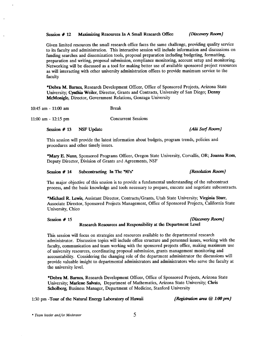#### Session # 12 Maximizing Resources In A Small Research Office *{Discovery Room}*

Given limited resources the small research office faces the same challenge, providing quality service to its faculty and administration. This interactive session will include information and discussions on funding searches and dissemination tools, proposal preparation including budgeting, formatting, preparation and writing, proposal submission, compliance monitoring, account setup and monitoring. Networking will be discussed as a tool for making better use of available sponsored project resources as will interacting with other university administration offices to provide maximum service to the faculty

\*Debra M. Barnes, Reseazch Development Officer, Office of Sponsored Projects, Arizona State University; Cynthia Weiler, Director, Grants and Contracts, University of San Diego; Denny McMonigle, Director, Government Relations, Gonzaga University

10:45 am -11:OOam Break

11:OOam -12:15 pm Concurrent Sessions

Session # 13 NSF Update *{Alu Surf Room}* 

This session will provide the latest information about budgets, program trends, policies and procedures and other timely issues.

\*Mary E. Nunn, Sponsored Programs Officer, Oregon State University, Corvallis, OR; Joanna Rom, Deputy Director, Division of Grants and Agreements, NSF

#### Session # 14 Subcontracting In The "90's" *{Resolution Room}*

The major objective of this session is to provide a fundamental understanding of the subcontract process, and the basic knowledge and tools necessary to prepare, execute and negotiate subcontracts.

\*Michael R. Lewis, Assistant Director, Contracts/Grants, Utah State University; Virginia Sturr, Associate Director, Sponsored Projects Management, Office of Sponsored Projects, California State University, Chico

Session # 15 {Discovery Room} Research Resources and Responsibility at the Department Level

This session will focus on strategies and resources available to the departmental research administrator. Discussion topics will include office structure and personnel issues, working with the faculty, communication and team working with the sponsored projects office, making maximum use of university resources, coordinating proposal submission, grants management monitoring and accountability. Considering the changing role of the department administrator the discussions will provide valuable insight to departmental administrators and administrators who serve the faculty at the university level.

\*Debra M. Barnes, Reseazch Development Officer, Office of Sponsored Projects, Arizona State University; Marlene Salvato, Department of Mathematics, Arizona State University; Chris Scholberg, Business Manager, Depaztment of Medicine, Stanford University

#### 1:30 pm -Tour of the Natural Energy Laboratory of Hawaii *{Registration area @ 1:00 pm}*

*' Team leader and/or Moderator*